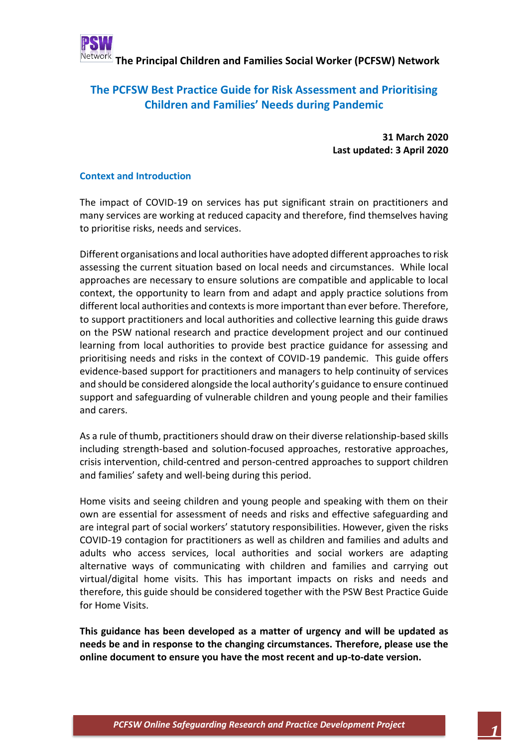

### **The PCFSW Best Practice Guide for Risk Assessment and Prioritising Children and Families' Needs during Pandemic**

**31 March 2020 Last updated: 3 April 2020**

### **Context and Introduction**

The impact of COVID-19 on services has put significant strain on practitioners and many services are working at reduced capacity and therefore, find themselves having to prioritise risks, needs and services.

Different organisations and local authorities have adopted different approachesto risk assessing the current situation based on local needs and circumstances. While local approaches are necessary to ensure solutions are compatible and applicable to local context, the opportunity to learn from and adapt and apply practice solutions from different local authorities and contexts is more important than ever before. Therefore, to support practitioners and local authorities and collective learning this guide draws on the PSW national research and practice development project and our continued learning from local authorities to provide best practice guidance for assessing and prioritising needs and risks in the context of COVID-19 pandemic. This guide offers evidence-based support for practitioners and managers to help continuity of services and should be considered alongside the local authority's guidance to ensure continued support and safeguarding of vulnerable children and young people and their families and carers.

As a rule of thumb, practitioners should draw on their diverse relationship-based skills including strength-based and solution-focused approaches, restorative approaches, crisis intervention, child-centred and person-centred approaches to support children and families' safety and well-being during this period.

Home visits and seeing children and young people and speaking with them on their own are essential for assessment of needs and risks and effective safeguarding and are integral part of social workers' statutory responsibilities. However, given the risks COVID-19 contagion for practitioners as well as children and families and adults and adults who access services, local authorities and social workers are adapting alternative ways of communicating with children and families and carrying out virtual/digital home visits. This has important impacts on risks and needs and therefore, this guide should be considered together with the PSW Best Practice Guide for Home Visits.

**This guidance has been developed as a matter of urgency and will be updated as needs be and in response to the changing circumstances. Therefore, please use the online document to ensure you have the most recent and up-to-date version.**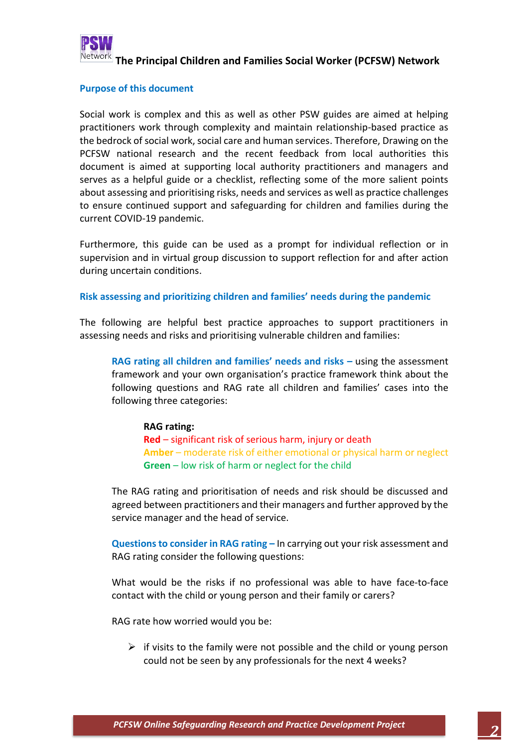

### **Purpose of this document**

Social work is complex and this as well as other PSW guides are aimed at helping practitioners work through complexity and maintain relationship-based practice as the bedrock of social work, social care and human services. Therefore, Drawing on the PCFSW national research and the recent feedback from local authorities this document is aimed at supporting local authority practitioners and managers and serves as a helpful guide or a checklist, reflecting some of the more salient points about assessing and prioritising risks, needs and services as well as practice challenges to ensure continued support and safeguarding for children and families during the current COVID-19 pandemic.

Furthermore, this guide can be used as a prompt for individual reflection or in supervision and in virtual group discussion to support reflection for and after action during uncertain conditions.

#### **Risk assessing and prioritizing children and families' needs during the pandemic**

The following are helpful best practice approaches to support practitioners in assessing needs and risks and prioritising vulnerable children and families:

**RAG rating all children and families' needs and risks –** using the assessment framework and your own organisation's practice framework think about the following questions and RAG rate all children and families' cases into the following three categories:

#### **RAG rating:**

**Red** – significant risk of serious harm, injury or death **Amber** – moderate risk of either emotional or physical harm or neglect **Green** – low risk of harm or neglect for the child

The RAG rating and prioritisation of needs and risk should be discussed and agreed between practitioners and their managers and further approved by the service manager and the head of service.

**Questions to consider in RAG rating –** In carrying out your risk assessment and RAG rating consider the following questions:

What would be the risks if no professional was able to have face-to-face contact with the child or young person and their family or carers?

RAG rate how worried would you be:

 $\triangleright$  if visits to the family were not possible and the child or young person could not be seen by any professionals for the next 4 weeks?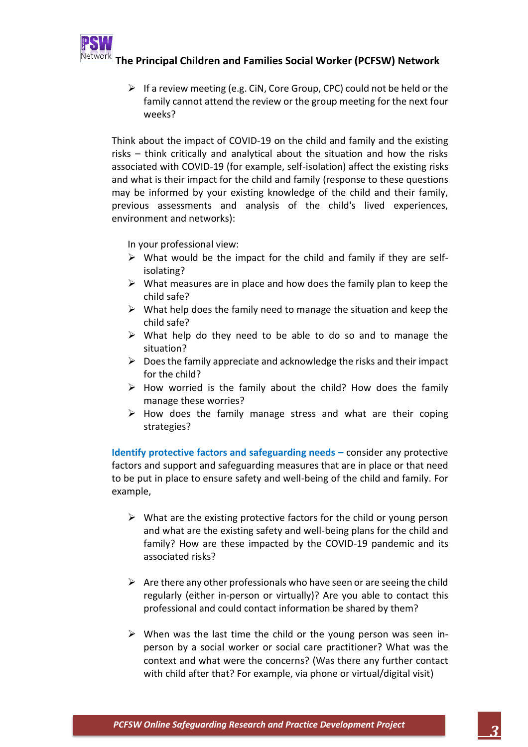

 $\triangleright$  If a review meeting (e.g. CiN, Core Group, CPC) could not be held or the family cannot attend the review or the group meeting for the next four weeks?

Think about the impact of COVID-19 on the child and family and the existing risks – think critically and analytical about the situation and how the risks associated with COVID-19 (for example, self-isolation) affect the existing risks and what is their impact for the child and family (response to these questions may be informed by your existing knowledge of the child and their family, previous assessments and analysis of the child's lived experiences, environment and networks):

In your professional view:

- $\triangleright$  What would be the impact for the child and family if they are selfisolating?
- $\triangleright$  What measures are in place and how does the family plan to keep the child safe?
- $\triangleright$  What help does the family need to manage the situation and keep the child safe?
- $\triangleright$  What help do they need to be able to do so and to manage the situation?
- $\triangleright$  Does the family appreciate and acknowledge the risks and their impact for the child?
- $\triangleright$  How worried is the family about the child? How does the family manage these worries?
- $\triangleright$  How does the family manage stress and what are their coping strategies?

**Identify protective factors and safeguarding needs –** consider any protective factors and support and safeguarding measures that are in place or that need to be put in place to ensure safety and well-being of the child and family. For example,

- $\triangleright$  What are the existing protective factors for the child or young person and what are the existing safety and well-being plans for the child and family? How are these impacted by the COVID-19 pandemic and its associated risks?
- $\triangleright$  Are there any other professionals who have seen or are seeing the child regularly (either in-person or virtually)? Are you able to contact this professional and could contact information be shared by them?
- $\triangleright$  When was the last time the child or the young person was seen inperson by a social worker or social care practitioner? What was the context and what were the concerns? (Was there any further contact with child after that? For example, via phone or virtual/digital visit)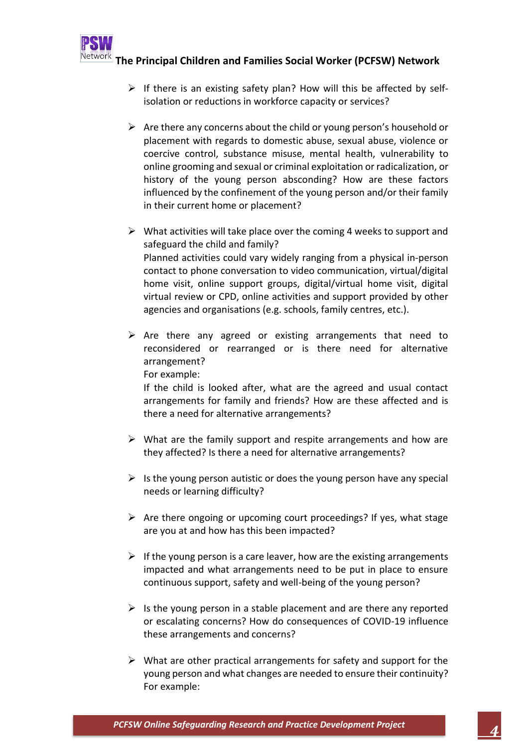

- $\triangleright$  If there is an existing safety plan? How will this be affected by selfisolation or reductions in workforce capacity or services?
- $\triangleright$  Are there any concerns about the child or young person's household or placement with regards to domestic abuse, sexual abuse, violence or coercive control, substance misuse, mental health, vulnerability to online grooming and sexual or criminal exploitation or radicalization, or history of the young person absconding? How are these factors influenced by the confinement of the young person and/or their family in their current home or placement?
- $\triangleright$  What activities will take place over the coming 4 weeks to support and safeguard the child and family? Planned activities could vary widely ranging from a physical in-person contact to phone conversation to video communication, virtual/digital home visit, online support groups, digital/virtual home visit, digital virtual review or CPD, online activities and support provided by other agencies and organisations (e.g. schools, family centres, etc.).
- $\triangleright$  Are there any agreed or existing arrangements that need to reconsidered or rearranged or is there need for alternative arrangement? For example:

If the child is looked after, what are the agreed and usual contact arrangements for family and friends? How are these affected and is there a need for alternative arrangements?

- $\triangleright$  What are the family support and respite arrangements and how are they affected? Is there a need for alternative arrangements?
- $\triangleright$  Is the young person autistic or does the young person have any special needs or learning difficulty?
- $\triangleright$  Are there ongoing or upcoming court proceedings? If yes, what stage are you at and how has this been impacted?
- $\triangleright$  If the young person is a care leaver, how are the existing arrangements impacted and what arrangements need to be put in place to ensure continuous support, safety and well-being of the young person?
- $\triangleright$  Is the young person in a stable placement and are there any reported or escalating concerns? How do consequences of COVID-19 influence these arrangements and concerns?
- $\triangleright$  What are other practical arrangements for safety and support for the young person and what changes are needed to ensure their continuity? For example: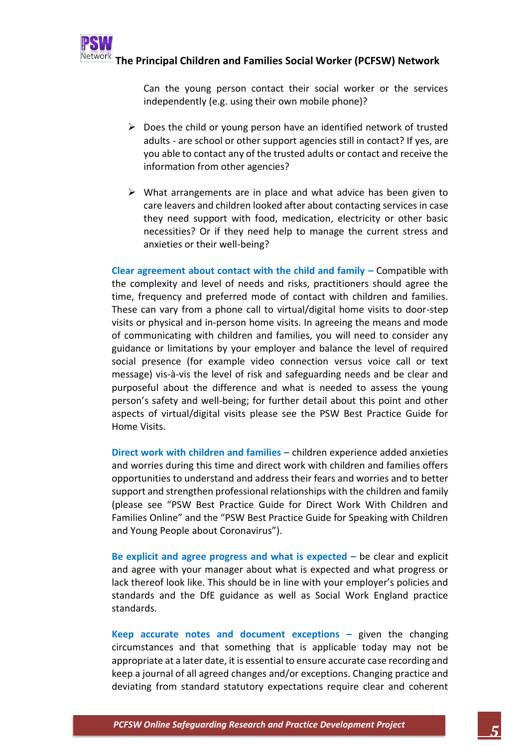

Can the young person contact their social worker or the services independently (e.g. using their own mobile phone)?

- $\triangleright$  Does the child or young person have an identified network of trusted adults - are school or other support agencies still in contact? If yes, are you able to contact any of the trusted adults or contact and receive the information from other agencies?
- $\triangleright$  What arrangements are in place and what advice has been given to care leavers and children looked after about contacting services in case they need support with food, medication, electricity or other basic necessities? Or if they need help to manage the current stress and anxieties or their well-being?

**Clear agreement about contact with the child and family –** Compatible with the complexity and level of needs and risks, practitioners should agree the time, frequency and preferred mode of contact with children and families. These can vary from a phone call to virtual/digital home visits to door-step visits or physical and in-person home visits. In agreeing the means and mode of communicating with children and families, you will need to consider any guidance or limitations by your employer and balance the level of required social presence (for example video connection versus voice call or text message) vis-à-vis the level of risk and safeguarding needs and be clear and purposeful about the difference and what is needed to assess the young person's safety and well-being; for further detail about this point and other aspects of virtual/digital visits please see the PSW Best Practice Guide for Home Visits.

**Direct work with children and families –** children experience added anxieties and worries during this time and direct work with children and families offers opportunities to understand and address their fears and worries and to better support and strengthen professional relationships with the children and family (please see "PSW Best Practice Guide for Direct Work With Children and Families Online" and the "PSW Best Practice Guide for Speaking with Children and Young People about Coronavirus").

**Be explicit and agree progress and what is expected –** be clear and explicit and agree with your manager about what is expected and what progress or lack thereof look like. This should be in line with your employer's policies and standards and the DfE guidance as well as Social Work England practice standards.

**Keep accurate notes and document exceptions – given the changing** circumstances and that something that is applicable today may not be appropriate at a later date, it is essential to ensure accurate case recording and keep a journal of all agreed changes and/or exceptions. Changing practice and deviating from standard statutory expectations require clear and coherent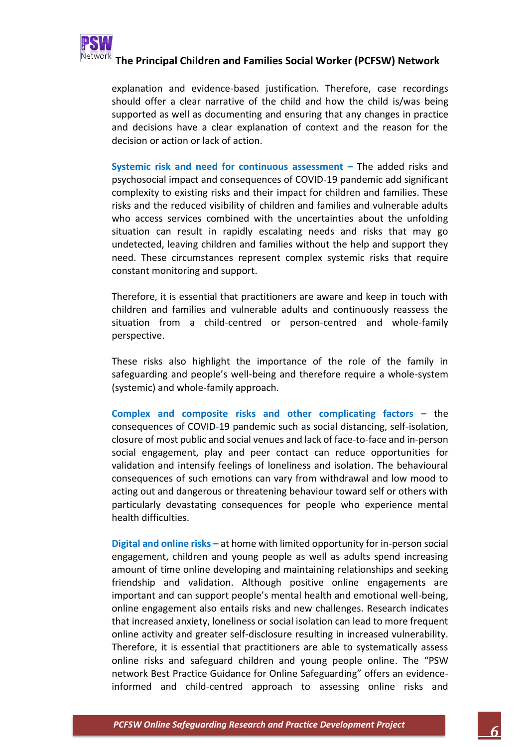

explanation and evidence-based justification. Therefore, case recordings should offer a clear narrative of the child and how the child is/was being supported as well as documenting and ensuring that any changes in practice and decisions have a clear explanation of context and the reason for the decision or action or lack of action.

**Systemic risk and need for continuous assessment –** The added risks and psychosocial impact and consequences of COVID-19 pandemic add significant complexity to existing risks and their impact for children and families. These risks and the reduced visibility of children and families and vulnerable adults who access services combined with the uncertainties about the unfolding situation can result in rapidly escalating needs and risks that may go undetected, leaving children and families without the help and support they need. These circumstances represent complex systemic risks that require constant monitoring and support.

Therefore, it is essential that practitioners are aware and keep in touch with children and families and vulnerable adults and continuously reassess the situation from a child-centred or person-centred and whole-family perspective.

These risks also highlight the importance of the role of the family in safeguarding and people's well-being and therefore require a whole-system (systemic) and whole-family approach.

**Complex and composite risks and other complicating factors –** the consequences of COVID-19 pandemic such as social distancing, self-isolation, closure of most public and social venues and lack of face-to-face and in-person social engagement, play and peer contact can reduce opportunities for validation and intensify feelings of loneliness and isolation. The behavioural consequences of such emotions can vary from withdrawal and low mood to acting out and dangerous or threatening behaviour toward self or others with particularly devastating consequences for people who experience mental health difficulties.

**Digital and online risks –** at home with limited opportunity for in-person social engagement, children and young people as well as adults spend increasing amount of time online developing and maintaining relationships and seeking friendship and validation. Although positive online engagements are important and can support people's mental health and emotional well-being, online engagement also entails risks and new challenges. Research indicates that increased anxiety, loneliness or social isolation can lead to more frequent online activity and greater self-disclosure resulting in increased vulnerability. Therefore, it is essential that practitioners are able to systematically assess online risks and safeguard children and young people online. The "PSW network Best Practice Guidance for Online Safeguarding" offers an evidenceinformed and child-centred approach to assessing online risks and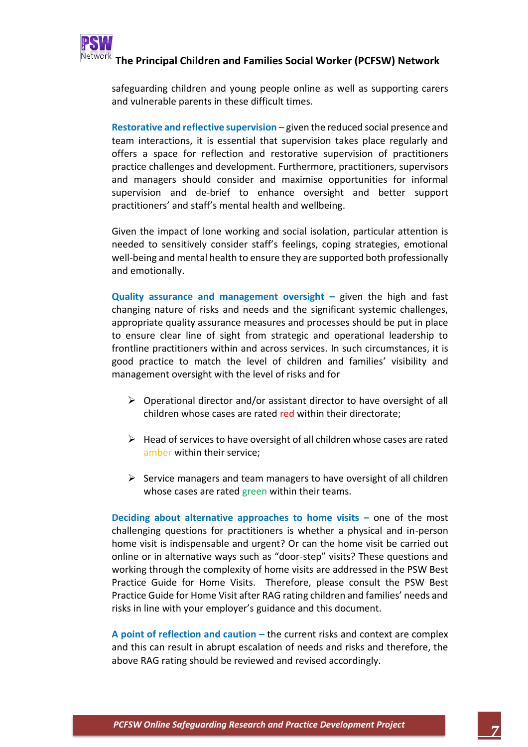

safeguarding children and young people online as well as supporting carers and vulnerable parents in these difficult times.

**Restorative and reflective supervision – given the reduced social presence and** team interactions, it is essential that supervision takes place regularly and offers a space for reflection and restorative supervision of practitioners practice challenges and development. Furthermore, practitioners, supervisors and managers should consider and maximise opportunities for informal supervision and de-brief to enhance oversight and better support practitioners' and staff's mental health and wellbeing.

Given the impact of lone working and social isolation, particular attention is needed to sensitively consider staff's feelings, coping strategies, emotional well-being and mental health to ensure they are supported both professionally and emotionally.

**Quality assurance and management oversight – given the high and fast** changing nature of risks and needs and the significant systemic challenges, appropriate quality assurance measures and processes should be put in place to ensure clear line of sight from strategic and operational leadership to frontline practitioners within and across services. In such circumstances, it is good practice to match the level of children and families' visibility and management oversight with the level of risks and for

- ➢ Operational director and/or assistant director to have oversight of all children whose cases are rated red within their directorate;
- $\triangleright$  Head of services to have oversight of all children whose cases are rated amber within their service;
- $\triangleright$  Service managers and team managers to have oversight of all children whose cases are rated green within their teams.

**Deciding about alternative approaches to home visits –** one of the most challenging questions for practitioners is whether a physical and in-person home visit is indispensable and urgent? Or can the home visit be carried out online or in alternative ways such as "door-step" visits? These questions and working through the complexity of home visits are addressed in the PSW Best Practice Guide for Home Visits. Therefore, please consult the PSW Best Practice Guide for Home Visit after RAG rating children and families' needs and risks in line with your employer's guidance and this document.

**A point of reflection and caution –** the current risks and context are complex and this can result in abrupt escalation of needs and risks and therefore, the above RAG rating should be reviewed and revised accordingly.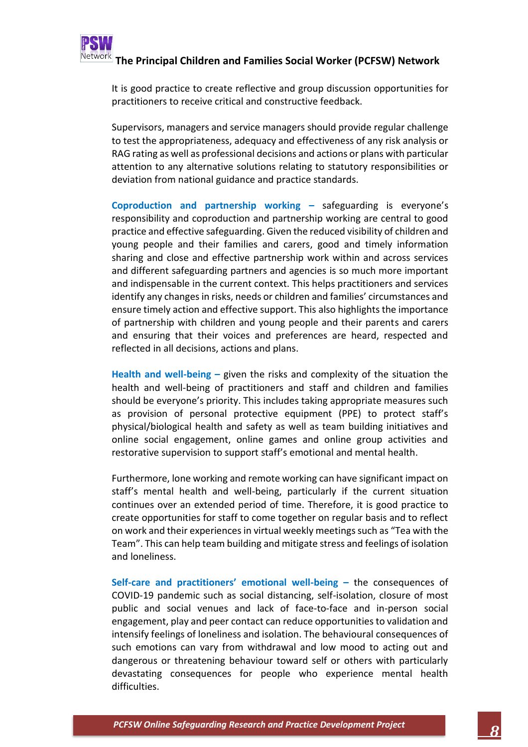

It is good practice to create reflective and group discussion opportunities for practitioners to receive critical and constructive feedback.

Supervisors, managers and service managers should provide regular challenge to test the appropriateness, adequacy and effectiveness of any risk analysis or RAG rating as well as professional decisions and actions or plans with particular attention to any alternative solutions relating to statutory responsibilities or deviation from national guidance and practice standards.

**Coproduction and partnership working –** safeguarding is everyone's responsibility and coproduction and partnership working are central to good practice and effective safeguarding. Given the reduced visibility of children and young people and their families and carers, good and timely information sharing and close and effective partnership work within and across services and different safeguarding partners and agencies is so much more important and indispensable in the current context. This helps practitioners and services identify any changes in risks, needs or children and families' circumstances and ensure timely action and effective support. This also highlights the importance of partnership with children and young people and their parents and carers and ensuring that their voices and preferences are heard, respected and reflected in all decisions, actions and plans.

**Health and well-being –** given the risks and complexity of the situation the health and well-being of practitioners and staff and children and families should be everyone's priority. This includes taking appropriate measures such as provision of personal protective equipment (PPE) to protect staff's physical/biological health and safety as well as team building initiatives and online social engagement, online games and online group activities and restorative supervision to support staff's emotional and mental health.

Furthermore, lone working and remote working can have significant impact on staff's mental health and well-being, particularly if the current situation continues over an extended period of time. Therefore, it is good practice to create opportunities for staff to come together on regular basis and to reflect on work and their experiences in virtual weekly meetings such as "Tea with the Team". This can help team building and mitigate stress and feelings of isolation and loneliness.

**Self-care and practitioners' emotional well-being –** the consequences of COVID-19 pandemic such as social distancing, self-isolation, closure of most public and social venues and lack of face-to-face and in-person social engagement, play and peer contact can reduce opportunities to validation and intensify feelings of loneliness and isolation. The behavioural consequences of such emotions can vary from withdrawal and low mood to acting out and dangerous or threatening behaviour toward self or others with particularly devastating consequences for people who experience mental health difficulties.